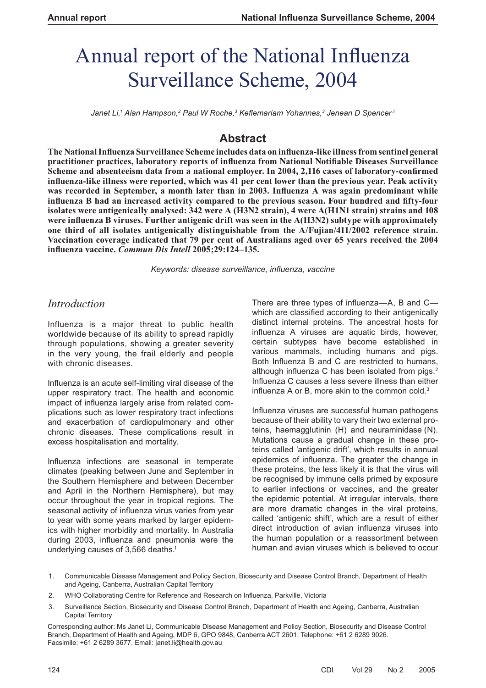# Annual report of the National Influenza Surveillance Scheme, 2004

 $J$ anet Li,1 Alan Hampson,<sup>2</sup> Paul W Roche,<sup>3</sup> Keflemariam Yohannes,<sup>3</sup> Jenean D Spencer <sup>3</sup>

# **Abstract**

**The National Infl uenza Surveillance Scheme includes data on infl uenza-like illness from sentinel general**  practitioner practices, laboratory reports of influenza from National Notifiable Diseases Surveillance Scheme and absenteeism data from a national employer. In 2004, 2,116 cases of laboratory-confirmed **infl uenza-like illness were reported, which was 41 per cent lower than the previous year. Peak activity**  was recorded in September, a month later than in 2003. Influenza A was again predominant while influenza B had an increased activity compared to the previous season. Four hundred and fifty-four **isolates were antigenically analysed: 342 were A (H3N2 strain), 4 were A(H1N1 strain) strains and 108**  were influenza B viruses. Further antigenic drift was seen in the A(H3N2) subtype with approximately **one third of all isolates antigenically distinguishable from the A/Fujian/411/2002 reference strain. Vaccination coverage indicated that 79 per cent of Australians aged over 65 years received the 2004 infl uenza vaccine.** *Commun Dis Intell* **2005;29:124–135.**

*Keywords: disease surveillance, infl uenza, vaccine*

# *Introduction*

Influenza is a major threat to public health worldwide because of its ability to spread rapidly through populations, showing a greater severity in the very young, the frail elderly and people with chronic diseases.

Influenza is an acute self-limiting viral disease of the upper respiratory tract. The health and economic impact of influenza largely arise from related complications such as lower respiratory tract infections and exacerbation of cardiopulmonary and other chronic diseases. These complications result in excess hospitalisation and mortality.

Influenza infections are seasonal in temperate climates (peaking between June and September in the Southern Hemisphere and between December and April in the Northern Hemisphere), but may occur throughout the year in tropical regions. The seasonal activity of influenza virus varies from year to year with some years marked by larger epidemics with higher morbidity and mortality. In Australia during 2003, influenza and pneumonia were the underlying causes of 3,566 deaths.<sup>1</sup>

There are three types of influenza-A, B and Cwhich are classified according to their antigenically distinct internal proteins. The ancestral hosts for influenza A viruses are aquatic birds, however, certain subtypes have become established in various mammals, including humans and pigs. Both Influenza B and C are restricted to humans, although influenza C has been isolated from pigs.<sup>2</sup> Influenza C causes a less severe illness than either influenza A or B, more akin to the common cold. $3$ 

Influenza viruses are successful human pathogens because of their ability to vary their two external proteins, haemagglutinin (H) and neuraminidase (N). Mutations cause a gradual change in these proteins called 'antigenic drift', which results in annual epidemics of influenza. The greater the change in these proteins, the less likely it is that the virus will be recognised by immune cells primed by exposure to earlier infections or vaccines, and the greater the epidemic potential. At irregular intervals, there are more dramatic changes in the viral proteins, called 'antigenic shift', which are a result of either direct introduction of avian influenza viruses into the human population or a reassortment between human and avian viruses which is believed to occur

- 1. Communicable Disease Management and Policy Section, Biosecurity and Disease Control Branch, Department of Health and Ageing, Canberra, Australian Capital Territory
- 2. WHO Collaborating Centre for Reference and Research on Influenza, Parkville, Victoria
- 3. Surveillance Section, Biosecurity and Disease Control Branch, Department of Health and Ageing, Canberra, Australian Capital Territory

Corresponding author: Ms Janet Li, Communicable Disease Management and Policy Section, Biosecurity and Disease Control Branch, Department of Health and Ageing, MDP 6, GPO 9848, Canberra ACT 2601. Telephone: +61 2 6289 9026. Facsimile: +61 2 6289 3677. Email: janet.li@health.gov.au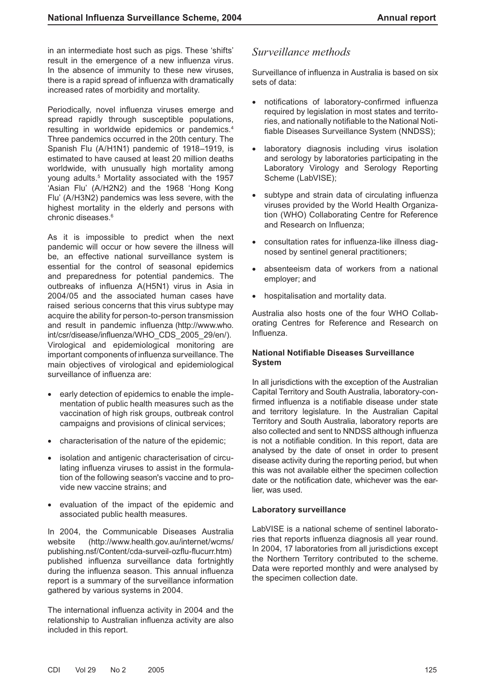in an intermediate host such as pigs. These 'shifts' result in the emergence of a new influenza virus. In the absence of immunity to these new viruses, there is a rapid spread of influenza with dramatically increased rates of morbidity and mortality.

Periodically, novel influenza viruses emerge and spread rapidly through susceptible populations, resulting in worldwide epidemics or pandemics.4 Three pandemics occurred in the 20th century. The Spanish Flu (A/H1N1) pandemic of 1918–1919, is estimated to have caused at least 20 million deaths worldwide, with unusually high mortality among young adults.5 Mortality associated with the 1957 'Asian Flu' (A/H2N2) and the 1968 'Hong Kong Flu' (A/H3N2) pandemics was less severe, with the highest mortality in the elderly and persons with chronic diseases.6

As it is impossible to predict when the next pandemic will occur or how severe the illness will be, an effective national surveillance system is essential for the control of seasonal epidemics and preparedness for potential pandemics. The outbreaks of influenza A(H5N1) virus in Asia in 2004/05 and the associated human cases have raised serious concerns that this virus subtype may acquire the ability for person-to-person transmission and result in pandemic influenza (http://www.who. int/csr/disease/influenza/WHO\_CDS\_2005\_29/en/). Virological and epidemiological monitoring are important components of influenza surveillance. The main objectives of virological and epidemiological surveillance of influenza are:

- early detection of epidemics to enable the implementation of public health measures such as the vaccination of high risk groups, outbreak control campaigns and provisions of clinical services;
- characterisation of the nature of the epidemic;
- isolation and antigenic characterisation of circulating influenza viruses to assist in the formulation of the following season's vaccine and to provide new vaccine strains; and
- evaluation of the impact of the epidemic and associated public health measures.

In 2004, the Communicable Diseases Australia website (http://www.health.gov.au/internet/wcms/ publishing.nsf/Content/cda-surveil-ozflu-flucurr.htm) published influenza surveillance data fortnightly during the influenza season. This annual influenza report is a summary of the surveillance information gathered by various systems in 2004.

The international influenza activity in 2004 and the relationship to Australian influenza activity are also included in this report.

# *Surveillance methods*

Surveillance of influenza in Australia is based on six sets of data:

- notifications of laboratory-confirmed influenza required by legislation in most states and territories, and nationally notifiable to the National Notifiable Diseases Surveillance System (NNDSS);
- laboratory diagnosis including virus isolation and serology by laboratories participating in the Laboratory Virology and Serology Reporting Scheme (LabVISE);
- subtype and strain data of circulating influenza viruses provided by the World Health Organization (WHO) Collaborating Centre for Reference and Research on Influenza:
- consultation rates for influenza-like illness diagnosed by sentinel general practitioners;
- absenteeism data of workers from a national employer; and
- hospitalisation and mortality data.

Australia also hosts one of the four WHO Collaborating Centres for Reference and Research on Influenza.

#### **National Notifiable Diseases Surveillance System**

In all jurisdictions with the exception of the Australian Capital Territory and South Australia, laboratory-confirmed influenza is a notifiable disease under state and territory legislature. In the Australian Capital Territory and South Australia, laboratory reports are also collected and sent to NNDSS although influenza is not a notifiable condition. In this report, data are analysed by the date of onset in order to present disease activity during the reporting period, but when this was not available either the specimen collection date or the notification date, whichever was the earlier, was used.

#### **Laboratory surveillance**

LabVISE is a national scheme of sentinel laboratories that reports influenza diagnosis all year round. In 2004, 17 laboratories from all jurisdictions except the Northern Territory contributed to the scheme. Data were reported monthly and were analysed by the specimen collection date.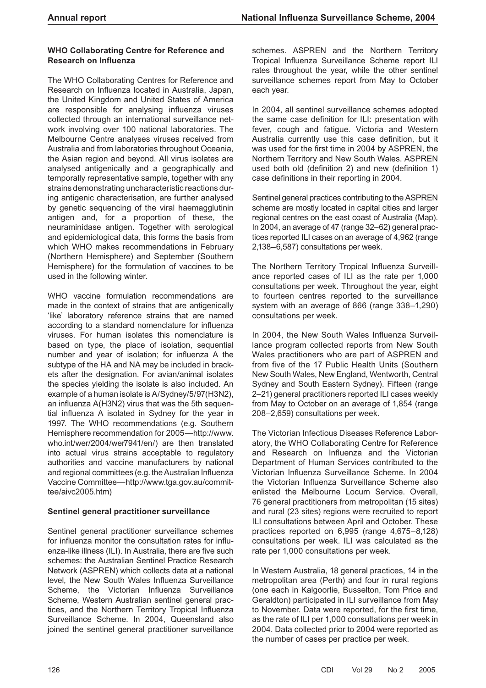# **WHO Collaborating Centre for Reference and Research on Influenza**

The WHO Collaborating Centres for Reference and Research on Influenza located in Australia, Japan, the United Kingdom and United States of America are responsible for analysing influenza viruses collected through an international surveillance network involving over 100 national laboratories. The Melbourne Centre analyses viruses received from Australia and from laboratories throughout Oceania, the Asian region and beyond. All virus isolates are analysed antigenically and a geographically and temporally representative sample, together with any strains demonstrating uncharacteristic reactions during antigenic characterisation, are further analysed by genetic sequencing of the viral haemagglutinin antigen and, for a proportion of these, the neuraminidase antigen. Together with serological and epidemiological data, this forms the basis from which WHO makes recommendations in February (Northern Hemisphere) and September (Southern Hemisphere) for the formulation of vaccines to be used in the following winter.

WHO vaccine formulation recommendations are made in the context of strains that are antigenically 'like' laboratory reference strains that are named according to a standard nomenclature for influenza viruses. For human isolates this nomenclature is based on type, the place of isolation, sequential number and year of isolation; for influenza A the subtype of the HA and NA may be included in brackets after the designation. For avian/animal isolates the species yielding the isolate is also included. An example of a human isolate is A/Sydney/5/97(H3N2), an influenza A(H3N2) virus that was the 5th sequential influenza A isolated in Sydney for the year in 1997. The WHO recommendations (e.g. Southern Hemisphere recommendation for 2005—http://www. who.int/wer/2004/wer7941/en/) are then translated into actual virus strains acceptable to regulatory authorities and vaccine manufacturers by national and regional committees (e.g. the Australian Influenza Vaccine Committee—http://www.tga.gov.au/committee/aivc2005.htm)

# **Sentinel general practitioner surveillance**

Sentinel general practitioner surveillance schemes for influenza monitor the consultation rates for influenza-like illness (ILI). In Australia, there are five such schemes: the Australian Sentinel Practice Research Network (ASPREN) which collects data at a national level, the New South Wales Influenza Surveillance Scheme, the Victorian Influenza Surveillance Scheme, Western Australian sentinel general practices, and the Northern Territory Tropical Influenza Surveillance Scheme. In 2004, Queensland also joined the sentinel general practitioner surveillance

schemes. ASPREN and the Northern Territory Tropical Influenza Surveillance Scheme report ILI rates throughout the year, while the other sentinel surveillance schemes report from May to October each year.

In 2004, all sentinel surveillance schemes adopted the same case definition for ILI: presentation with fever, cough and fatigue. Victoria and Western Australia currently use this case definition, but it was used for the first time in 2004 by ASPREN, the Northern Territory and New South Wales. ASPREN used both old (definition 2) and new (definition 1) case definitions in their reporting in 2004.

Sentinel general practices contributing to the ASPREN scheme are mostly located in capital cities and larger regional centres on the east coast of Australia (Map). In 2004, an average of 47 (range 32–62) general practices reported ILI cases on an average of 4,962 (range 2,138–6,587) consultations per week.

The Northern Territory Tropical Influenza Surveillance reported cases of ILI as the rate per 1,000 consultations per week. Throughout the year, eight to fourteen centres reported to the surveillance system with an average of 866 (range 338–1,290) consultations per week.

In 2004, the New South Wales Influenza Surveillance program collected reports from New South Wales practitioners who are part of ASPREN and from five of the 17 Public Health Units (Southern New South Wales, New England, Wentworth, Central Sydney and South Eastern Sydney). Fifteen (range 2–21) general practitioners reported ILI cases weekly from May to October on an average of 1,854 (range 208–2,659) consultations per week.

The Victorian Infectious Diseases Reference Laboratory, the WHO Collaborating Centre for Reference and Research on Influenza and the Victorian Department of Human Services contributed to the Victorian Influenza Surveillance Scheme. In 2004 the Victorian Influenza Surveillance Scheme also enlisted the Melbourne Locum Service. Overall, 76 general practitioners from metropolitan (15 sites) and rural (23 sites) regions were recruited to report ILI consultations between April and October. These practices reported on 6,995 (range 4,675–8,128) consultations per week. ILI was calculated as the rate per 1,000 consultations per week.

In Western Australia, 18 general practices, 14 in the metropolitan area (Perth) and four in rural regions (one each in Kalgoorlie, Busselton, Tom Price and Geraldton) participated in ILI surveillance from May to November. Data were reported, for the first time, as the rate of ILI per 1,000 consultations per week in 2004. Data collected prior to 2004 were reported as the number of cases per practice per week.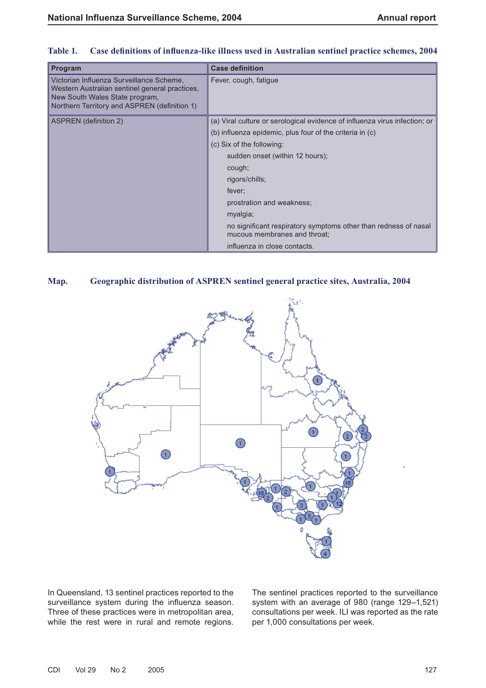| Program                                                                                                                                                                      | <b>Case definition</b>                                                                          |  |
|------------------------------------------------------------------------------------------------------------------------------------------------------------------------------|-------------------------------------------------------------------------------------------------|--|
| Victorian Influenza Surveillance Scheme,<br>Western Australian sentinel general practices,<br>New South Wales State program,<br>Northern Territory and ASPREN (definition 1) | Fever, cough, fatigue                                                                           |  |
| <b>ASPREN</b> (definition 2)                                                                                                                                                 | (a) Viral culture or serological evidence of influenza virus infection; or                      |  |
|                                                                                                                                                                              | (b) influenza epidemic, plus four of the criteria in (c)                                        |  |
|                                                                                                                                                                              | (c) Six of the following:                                                                       |  |
|                                                                                                                                                                              | sudden onset (within 12 hours);                                                                 |  |
|                                                                                                                                                                              | cough;                                                                                          |  |
|                                                                                                                                                                              | rigors/chills;                                                                                  |  |
|                                                                                                                                                                              | fever;                                                                                          |  |
|                                                                                                                                                                              | prostration and weakness;                                                                       |  |
|                                                                                                                                                                              | myalgia;                                                                                        |  |
|                                                                                                                                                                              | no significant respiratory symptoms other than redness of nasal<br>mucous membranes and throat; |  |
|                                                                                                                                                                              | influenza in close contacts.                                                                    |  |

# Table 1. Case definitions of influenza-like illness used in Australian sentinel practice schemes, 2004

# **Map. Geographic distribution of ASPREN sentinel general practice sites, Australia, 2004**



In Queensland, 13 sentinel practices reported to the surveillance system during the influenza season. Three of these practices were in metropolitan area, while the rest were in rural and remote regions. The sentinel practices reported to the surveillance system with an average of 980 (range 129–1,521) consultations per week. ILI was reported as the rate per 1,000 consultations per week.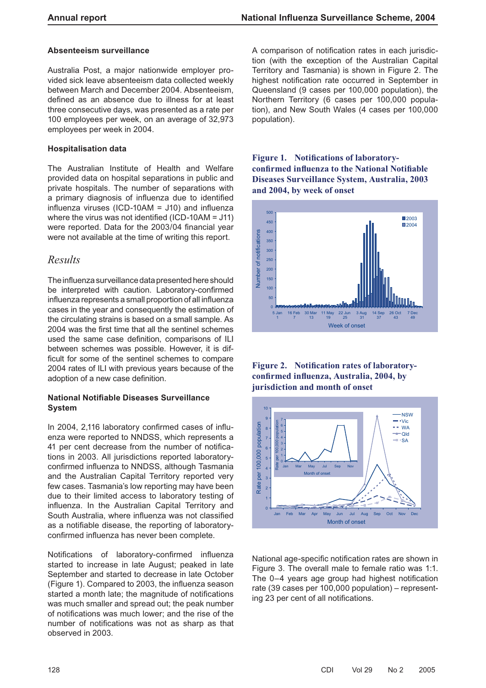#### **Absenteeism surveillance**

Australia Post, a major nationwide employer provided sick leave absenteeism data collected weekly between March and December 2004. Absenteeism, defined as an absence due to illness for at least three consecutive days, was presented as a rate per 100 employees per week, on an average of 32,973 employees per week in 2004.

#### **Hospitalisation data**

The Australian Institute of Health and Welfare provided data on hospital separations in public and private hospitals. The number of separations with a primary diagnosis of influenza due to identified influenza viruses (ICD-10AM =  $J10$ ) and influenza where the virus was not identified (ICD-10AM =  $J11$ ) were reported. Data for the 2003/04 financial year were not available at the time of writing this report.

# *Results*

The influenza surveillance data presented here should be interpreted with caution. Laboratory-confirmed influenza represents a small proportion of all influenza cases in the year and consequently the estimation of the circulating strains is based on a small sample. As 2004 was the first time that all the sentinel schemes used the same case definition, comparisons of ILI between schemes was possible. However, it is difficult for some of the sentinel schemes to compare 2004 rates of ILI with previous years because of the adoption of a new case definition.

#### **National Notifiable Diseases Surveillance System**

In 2004, 2,116 laboratory confirmed cases of influenza were reported to NNDSS, which represents a 41 per cent decrease from the number of notifications in 2003. All jurisdictions reported laboratoryconfirmed influenza to NNDSS, although Tasmania and the Australian Capital Territory reported very few cases. Tasmania's low reporting may have been due to their limited access to laboratory testing of influenza. In the Australian Capital Territory and South Australia, where influenza was not classified as a notifiable disease, the reporting of laboratoryconfirmed influenza has never been complete.

Notifications of laboratory-confirmed influenza started to increase in late August; peaked in late September and started to decrease in late October (Figure 1). Compared to 2003, the influenza season started a month late; the magnitude of notifications was much smaller and spread out; the peak number of notifications was much lower; and the rise of the number of notifications was not as sharp as that observed in 2003.

A comparison of notification rates in each jurisdiction (with the exception of the Australian Capital Territory and Tasmania) is shown in Figure 2. The highest notification rate occurred in September in Queensland (9 cases per 100,000 population), the Northern Territory (6 cases per 100,000 population), and New South Wales (4 cases per 100,000 population).

**Figure 1. Notifications of laboratoryconfi rmed infl uenza to the National Notifi able Diseases Surveillance System, Australia, 2003 and 2004, by week of onset**







National age-specific notification rates are shown in Figure 3. The overall male to female ratio was 1:1. The 0-4 years age group had highest notification rate (39 cases per 100,000 population) – representing 23 per cent of all notifications.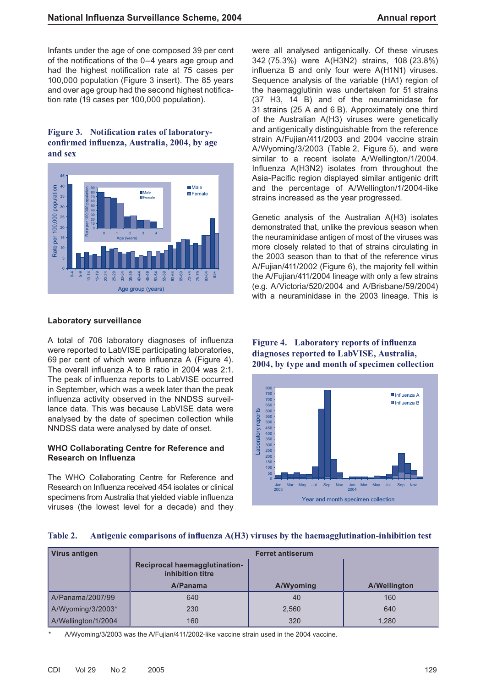Infants under the age of one composed 39 per cent of the notifications of the  $0-4$  years age group and had the highest notification rate at 75 cases per 100,000 population (Figure 3 insert). The 85 years and over age group had the second highest notification rate (19 cases per 100,000 population).

## Figure 3. Notification rates of laboratoryconfirmed influenza, Australia, 2004, by age **and sex**



#### **Laboratory surveillance**

A total of 706 laboratory diagnoses of influenza were reported to LabVISE participating laboratories, 69 per cent of which were influenza A (Figure 4). The overall influenza A to B ratio in 2004 was 2:1. The peak of influenza reports to LabVISE occurred in September, which was a week later than the peak influenza activity observed in the NNDSS surveillance data. This was because LabVISE data were analysed by the date of specimen collection while NNDSS data were analysed by date of onset.

#### **WHO Collaborating Centre for Reference and Research on Influenza**

The WHO Collaborating Centre for Reference and Research on Influenza received 454 isolates or clinical specimens from Australia that vielded viable influenza viruses (the lowest level for a decade) and they were all analysed antigenically. Of these viruses 342 (75.3%) were A(H3N2) strains, 108 (23.8%) influenza B and only four were A(H1N1) viruses. Sequence analysis of the variable (HA1) region of the haemagglutinin was undertaken for 51 strains (37 H3, 14 B) and of the neuraminidase for 31 strains (25 A and 6 B). Approximately one third of the Australian A(H3) viruses were genetically and antigenically distinguishable from the reference strain A/Fujian/411/2003 and 2004 vaccine strain A/Wyoming/3/2003 (Table 2, Figure 5), and were similar to a recent isolate A/Wellington/1/2004. Influenza A(H3N2) isolates from throughout the Asia-Pacific region displayed similar antigenic drift and the percentage of A/Wellington/1/2004-like strains increased as the year progressed.

Genetic analysis of the Australian A(H3) isolates demonstrated that, unlike the previous season when the neuraminidase antigen of most of the viruses was more closely related to that of strains circulating in the 2003 season than to that of the reference virus A/Fujian/411/2002 (Figure 6), the majority fell within the A/Fujian/411/2004 lineage with only a few strains (e.g. A/Victoria/520/2004 and A/Brisbane/59/2004) with a neuraminidase in the 2003 lineage. This is

### **Figure 4.** Laboratory reports of influenza **diagnoses reported to LabVISE, Australia, 2004, by type and month of specimen collection**



#### Table 2. Antigenic comparisons of influenza A(H3) viruses by the haemagglutination-inhibition test

| Virus antigen       | <b>Ferret antiserum</b>                                  |           |              |
|---------------------|----------------------------------------------------------|-----------|--------------|
|                     | <b>Reciprocal haemagglutination-</b><br>inhibition titre |           |              |
|                     | A/Panama                                                 | A/Wyoming | A/Wellington |
| A/Panama/2007/99    | 640                                                      | 40        | 160          |
| A/Wyoming/3/2003*   | 230                                                      | 2.560     | 640          |
| A/Wellington/1/2004 | 160                                                      | 320       | 1,280        |

A/Wyoming/3/2003 was the A/Fujian/411/2002-like vaccine strain used in the 2004 vaccine.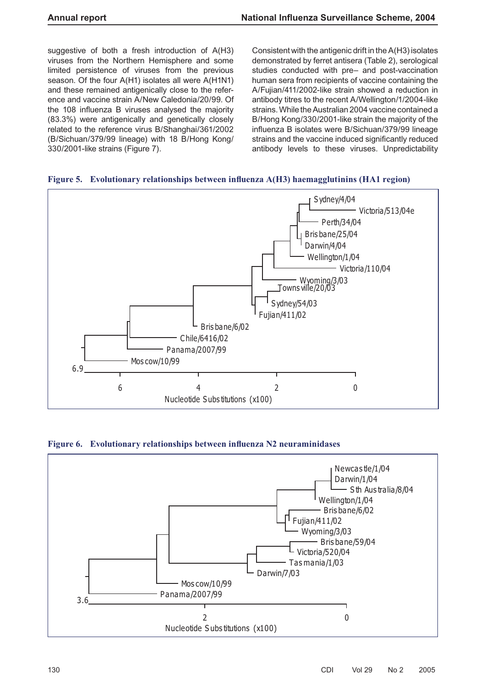suggestive of both a fresh introduction of A(H3) viruses from the Northern Hemisphere and some limited persistence of viruses from the previous season. Of the four A(H1) isolates all were A(H1N1) and these remained antigenically close to the reference and vaccine strain A/New Caledonia/20/99. Of the 108 influenza B viruses analysed the majority (83.3%) were antigenically and genetically closely related to the reference virus B/Shanghai/361/2002 (B/Sichuan/379/99 lineage) with 18 B/Hong Kong/ 330/2001-like strains (Figure 7).

Consistent with the antigenic drift in the A(H3) isolates demonstrated by ferret antisera (Table 2), serological studies conducted with pre– and post-vaccination human sera from recipients of vaccine containing the A/Fujian/411/2002-like strain showed a reduction in antibody titres to the recent A/Wellington/1/2004-like strains. While the Australian 2004 vaccine contained a B/Hong Kong/330/2001-like strain the majority of the influenza B isolates were B/Sichuan/379/99 lineage strains and the vaccine induced significantly reduced antibody levels to these viruses. Unpredictability

# **Figure 5. Evolutionary relationships between influenza A(H3) haemagglutinins (HA1 region)**



**Figure 6. Evolutionary relationships between influenza N2 neuraminidases** 

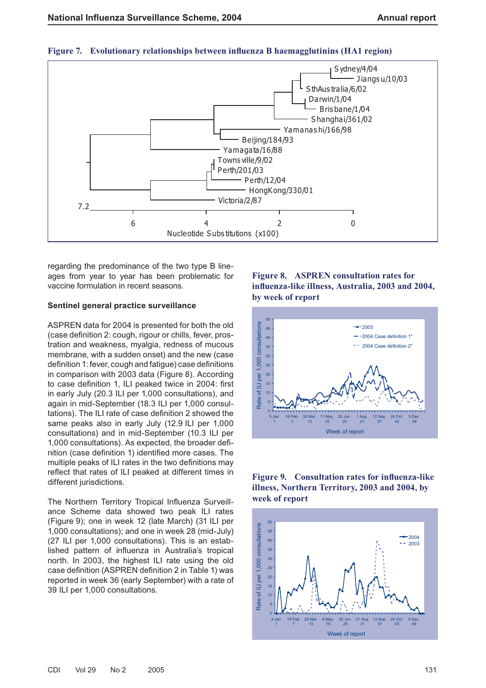

#### **Figure 7.** Evolutionary relationships between influenza B haemagglutinins (HA1 region)

regarding the predominance of the two type B lineages from year to year has been problematic for vaccine formulation in recent seasons.

#### **Sentinel general practice surveillance**

ASPREN data for 2004 is presented for both the old (case definition 2: cough, rigour or chills, fever, prostration and weakness, myalgia, redness of mucous membrane, with a sudden onset) and the new (case definition 1: fever, cough and fatigue) case definitions in comparison with 2003 data (Figure 8). According to case definition 1, ILI peaked twice in 2004: first in early July (20.3 ILI per 1,000 consultations), and again in mid-September (18.3 ILI per 1,000 consultations). The ILI rate of case definition 2 showed the same peaks also in early July (12.9 ILI per 1,000 consultations) and in mid-September (10.3 ILI per 1,000 consultations). As expected, the broader definition (case definition 1) identified more cases. The multiple peaks of ILI rates in the two definitions may reflect that rates of ILI peaked at different times in different jurisdictions.

The Northern Territory Tropical Influenza Surveillance Scheme data showed two peak ILI rates (Figure 9); one in week 12 (late March) (31 ILI per 1,000 consultations); and one in week 28 (mid-July) (27 ILI per 1,000 consultations). This is an established pattern of influenza in Australia's tropical north. In 2003, the highest ILI rate using the old case definition (ASPREN definition 2 in Table 1) was reported in week 36 (early September) with a rate of 39 ILI per 1,000 consultations.

# **Figure 8. ASPREN consultation rates for infl uenza-like illness, Australia, 2003 and 2004, by week of report**



## **Figure 9.** Consultation rates for influenza-like **illness, Northern Territory, 2003 and 2004, by week of report**

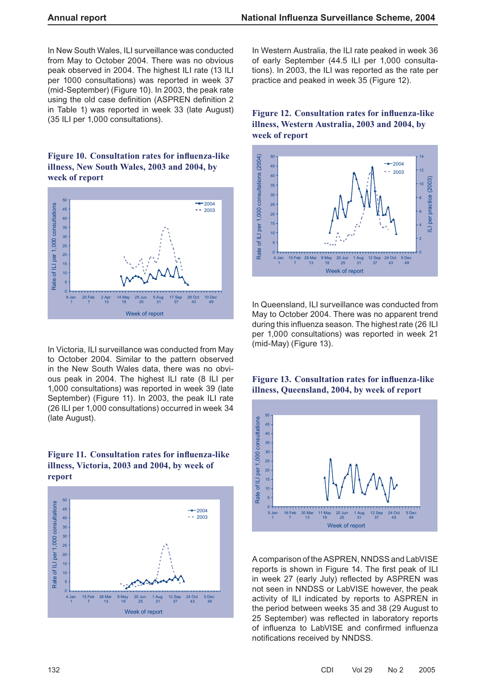In New South Wales, ILI surveillance was conducted from May to October 2004. There was no obvious peak observed in 2004. The highest ILI rate (13 ILI per 1000 consultations) was reported in week 37 (mid-September) (Figure 10). In 2003, the peak rate using the old case definition (ASPREN definition 2 in Table 1) was reported in week 33 (late August) (35 ILI per 1,000 consultations).

# Figure 10. Consultation rates for influenza-like **illness, New South Wales, 2003 and 2004, by week of report**



In Victoria, ILI surveillance was conducted from May to October 2004. Similar to the pattern observed in the New South Wales data, there was no obvious peak in 2004. The highest ILI rate (8 ILI per 1,000 consultations) was reported in week 39 (late September) (Figure 11). In 2003, the peak ILI rate (26 ILI per 1,000 consultations) occurred in week 34 (late August).

# Figure 11. Consultation rates for influenza-like **illness, Victoria, 2003 and 2004, by week of report**



In Western Australia, the ILI rate peaked in week 36 of early September (44.5 ILI per 1,000 consultations). In 2003, the ILI was reported as the rate per practice and peaked in week 35 (Figure 12).

# **Figure 12. Consultation rates for influenza-like illness, Western Australia, 2003 and 2004, by week of report**



In Queensland, ILI surveillance was conducted from May to October 2004. There was no apparent trend during this influenza season. The highest rate (26 ILI per 1,000 consultations) was reported in week 21 (mid-May) (Figure 13).

## Figure 13. Consultation rates for influenza-like **illness, Queensland, 2004, by week of report**



A comparison of the ASPREN, NNDSS and LabVISE reports is shown in Figure 14. The first peak of ILI in week 27 (early July) reflected by ASPREN was not seen in NNDSS or LabVISE however, the peak activity of ILI indicated by reports to ASPREN in the period between weeks 35 and 38 (29 August to 25 September) was reflected in laboratory reports of influenza to LabVISE and confirmed influenza notifications received by NNDSS.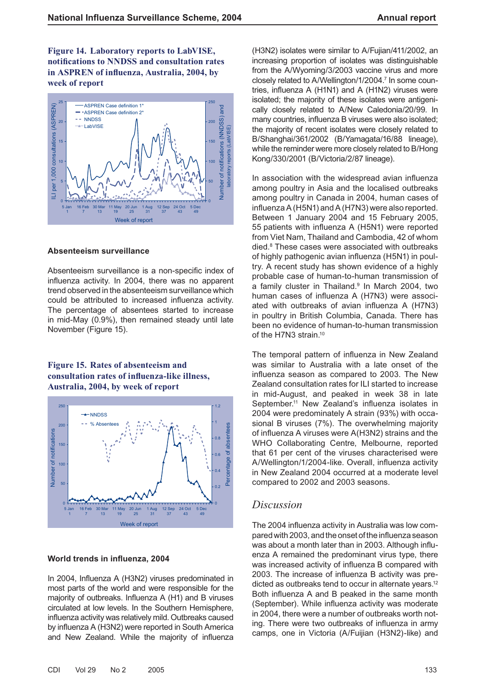**Figure 14. Laboratory reports to LabVISE, notifi cations to NNDSS and consultation rates**  in ASPREN of influenza, Australia, 2004, by **week of report**



#### **Absenteeism surveillance**

Absenteeism surveillance is a non-specific index of influenza activity. In 2004, there was no apparent trend observed in the absenteeism surveillance which could be attributed to increased influenza activity. The percentage of absentees started to increase in mid-May (0.9%), then remained steady until late November (Figure 15).

## **Figure 15. Rates of absenteeism and**  consultation rates of influenza-like illness, **Australia, 2004, by week of report**



#### **World trends in influenza, 2004**

In 2004, Influenza A (H3N2) viruses predominated in most parts of the world and were responsible for the majority of outbreaks. Influenza A (H1) and B viruses circulated at low levels. In the Southern Hemisphere, influenza activity was relatively mild. Outbreaks caused by influenza A (H3N2) were reported in South America and New Zealand. While the majority of influenza

(H3N2) isolates were similar to A/Fujian/411/2002, an increasing proportion of isolates was distinguishable from the A/Wyoming/3/2003 vaccine virus and more closely related to A/Wellington/1/2004.<sup>7</sup> In some countries, influenza A (H1N1) and A (H1N2) viruses were isolated; the majority of these isolates were antigenically closely related to A/New Caledonia/20/99. In many countries, influenza B viruses were also isolated; the majority of recent isolates were closely related to B/Shanghai/361/2002 (B/Yamagata/16/88 lineage), while the reminder were more closely related to B/Hong Kong/330/2001 (B/Victoria/2/87 lineage).

In association with the widespread avian influenza among poultry in Asia and the localised outbreaks among poultry in Canada in 2004, human cases of influenza A (H5N1) and A (H7N3) were also reported. Between 1 January 2004 and 15 February 2005, 55 patients with influenza A (H5N1) were reported from Viet Nam, Thailand and Cambodia, 42 of whom died.8 These cases were associated with outbreaks of highly pathogenic avian influenza (H5N1) in poultry. A recent study has shown evidence of a highly probable case of human-to-human transmission of a family cluster in Thailand.<sup>9</sup> In March 2004, two human cases of influenza A (H7N3) were associated with outbreaks of avian influenza A (H7N3) in poultry in British Columbia, Canada. There has been no evidence of human-to-human transmission of the H7N3 strain.<sup>10</sup>

The temporal pattern of influenza in New Zealand was similar to Australia with a late onset of the influenza season as compared to 2003. The New Zealand consultation rates for ILI started to increase in mid-August, and peaked in week 38 in late September.<sup>11</sup> New Zealand's influenza isolates in 2004 were predominately A strain (93%) with occasional B viruses (7%). The overwhelming majority of influenza A viruses were A(H3N2) strains and the WHO Collaborating Centre, Melbourne, reported that 61 per cent of the viruses characterised were A/Wellington/1/2004-like. Overall, influenza activity in New Zealand 2004 occurred at a moderate level compared to 2002 and 2003 seasons.

# *Discussion*

The 2004 influenza activity in Australia was low compared with 2003, and the onset of the influenza season was about a month later than in 2003. Although influenza A remained the predominant virus type, there was increased activity of influenza B compared with 2003. The increase of influenza B activity was predicted as outbreaks tend to occur in alternate years.12 Both influenza A and B peaked in the same month (September). While influenza activity was moderate in 2004, there were a number of outbreaks worth noting. There were two outbreaks of influenza in army camps, one in Victoria (A/Fuijian (H3N2)-like) and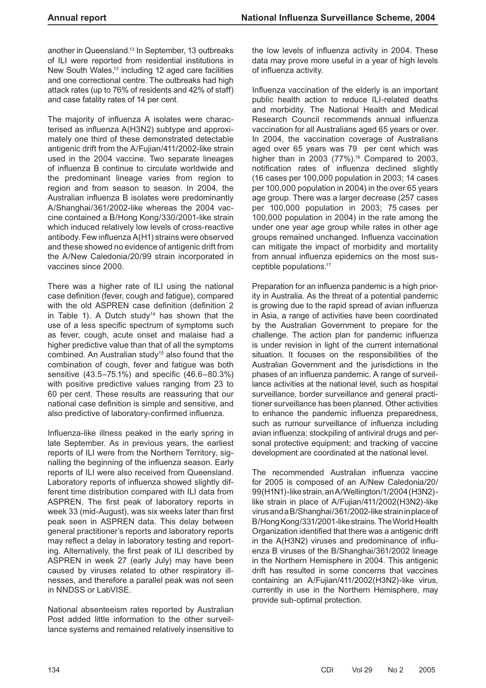another in Queensland.13 In September, 13 outbreaks of ILI were reported from residential institutions in New South Wales,13 including 12 aged care facilities and one correctional centre. The outbreaks had high attack rates (up to 76% of residents and 42% of staff) and case fatality rates of 14 per cent.

The majority of influenza A isolates were characterised as influenza A(H3N2) subtype and approximately one third of these demonstrated detectable antigenic drift from the A/Fujian/411/2002-like strain used in the 2004 vaccine. Two separate lineages of influenza B continue to circulate worldwide and the predominant lineage varies from region to region and from season to season. In 2004, the Australian influenza B isolates were predominantly A/Shanghai/361/2002-like whereas the 2004 vaccine contained a B/Hong Kong/330/2001-like strain which induced relatively low levels of cross-reactive antibody. Few influenza A(H1) strains were observed and these showed no evidence of antigenic drift from the A/New Caledonia/20/99 strain incorporated in vaccines since 2000.

There was a higher rate of ILI using the national case definition (fever, cough and fatigue), compared with the old ASPREN case definition (definition 2 in Table 1). A Dutch study<sup>14</sup> has shown that the use of a less specific spectrum of symptoms such as fever, cough, acute onset and malaise had a higher predictive value than that of all the symptoms combined. An Australian study<sup>15</sup> also found that the combination of cough, fever and fatigue was both sensitive (43.5–75.1%) and specific (46.6–80.3%) with positive predictive values ranging from 23 to 60 per cent. These results are reassuring that our national case definition is simple and sensitive, and also predictive of laboratory-confirmed influenza.

Influenza-like illness peaked in the early spring in late September. As in previous years, the earliest reports of ILI were from the Northern Territory, signalling the beginning of the influenza season. Early reports of ILI were also received from Queensland. Laboratory reports of influenza showed slightly different time distribution compared with ILI data from ASPREN. The first peak of laboratory reports in week 33 (mid-August), was six weeks later than first peak seen in ASPREN data. This delay between general practitioner's reports and laboratory reports may reflect a delay in laboratory testing and reporting. Alternatively, the first peak of ILI described by ASPREN in week 27 (early July) may have been caused by viruses related to other respiratory illnesses, and therefore a parallel peak was not seen in NNDSS or LabVISE.

National absenteeism rates reported by Australian Post added little information to the other surveillance systems and remained relatively insensitive to the low levels of influenza activity in 2004. These data may prove more useful in a year of high levels of influenza activity.

Influenza vaccination of the elderly is an important public health action to reduce ILI-related deaths and morbidity. The National Health and Medical Research Council recommends annual influenza vaccination for all Australians aged 65 years or over. In 2004, the vaccination coverage of Australians aged over 65 years was 79 per cent which was higher than in 2003 (77%).<sup>16</sup> Compared to 2003, notification rates of influenza declined slightly (16 cases per 100,000 population in 2003; 14 cases per 100,000 population in 2004) in the over 65 years age group. There was a larger decrease (257 cases per 100,000 population in 2003; 75 cases per 100,000 population in 2004) in the rate among the under one year age group while rates in other age groups remained unchanged. Influenza vaccination can mitigate the impact of morbidity and mortality from annual influenza epidemics on the most susceptible populations.17

Preparation for an influenza pandemic is a high priority in Australia. As the threat of a potential pandemic is growing due to the rapid spread of avian influenza in Asia, a range of activities have been coordinated by the Australian Government to prepare for the challenge. The action plan for pandemic influenza is under revision in light of the current international situation. It focuses on the responsibilities of the Australian Government and the jurisdictions in the phases of an influenza pandemic. A range of surveillance activities at the national level, such as hospital surveillance, border surveillance and general practitioner surveillance has been planned. Other activities to enhance the pandemic influenza preparedness, such as rumour surveillance of influenza including avian influenza; stockpiling of antiviral drugs and personal protective equipment; and tracking of vaccine development are coordinated at the national level.

The recommended Australian influenza vaccine for 2005 is composed of an A/New Caledonia/20/ 99(H1N1)-like strain, an A/Wellington/1/2004 (H3N2) like strain in place of A/Fujian/411/2002(H3N2)-like virus and a B/Shanghai/361/2002-like strain in place of B/Hong Kong/331/2001-like strains. The World Health Organization identified that there was a antigenic drift in the A(H3N2) viruses and predominance of influenza B viruses of the B/Shanghai/361/2002 lineage in the Northern Hemisphere in 2004. This antigenic drift has resulted in some concerns that vaccines containing an A/Fujian/411/2002(H3N2)-like virus, currently in use in the Northern Hemisphere, may provide sub-optimal protection.